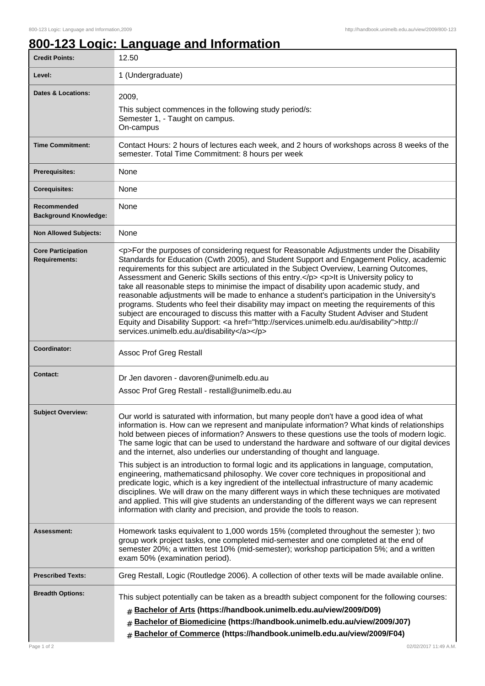## **800-123 Logic: Language and Information**

| <b>Credit Points:</b>                             | 12.50                                                                                                                                                                                                                                                                                                                                                                                                                                                                                                                                                                                                                                                                                                                                                                                                                                                                                                                                                                                                                                              |
|---------------------------------------------------|----------------------------------------------------------------------------------------------------------------------------------------------------------------------------------------------------------------------------------------------------------------------------------------------------------------------------------------------------------------------------------------------------------------------------------------------------------------------------------------------------------------------------------------------------------------------------------------------------------------------------------------------------------------------------------------------------------------------------------------------------------------------------------------------------------------------------------------------------------------------------------------------------------------------------------------------------------------------------------------------------------------------------------------------------|
| Level:                                            | 1 (Undergraduate)                                                                                                                                                                                                                                                                                                                                                                                                                                                                                                                                                                                                                                                                                                                                                                                                                                                                                                                                                                                                                                  |
| Dates & Locations:                                | 2009,<br>This subject commences in the following study period/s:<br>Semester 1, - Taught on campus.<br>On-campus                                                                                                                                                                                                                                                                                                                                                                                                                                                                                                                                                                                                                                                                                                                                                                                                                                                                                                                                   |
| <b>Time Commitment:</b>                           | Contact Hours: 2 hours of lectures each week, and 2 hours of workshops across 8 weeks of the<br>semester. Total Time Commitment: 8 hours per week                                                                                                                                                                                                                                                                                                                                                                                                                                                                                                                                                                                                                                                                                                                                                                                                                                                                                                  |
| <b>Prerequisites:</b>                             | None                                                                                                                                                                                                                                                                                                                                                                                                                                                                                                                                                                                                                                                                                                                                                                                                                                                                                                                                                                                                                                               |
| <b>Corequisites:</b>                              | None                                                                                                                                                                                                                                                                                                                                                                                                                                                                                                                                                                                                                                                                                                                                                                                                                                                                                                                                                                                                                                               |
| Recommended<br><b>Background Knowledge:</b>       | None                                                                                                                                                                                                                                                                                                                                                                                                                                                                                                                                                                                                                                                                                                                                                                                                                                                                                                                                                                                                                                               |
| <b>Non Allowed Subjects:</b>                      | None                                                                                                                                                                                                                                                                                                                                                                                                                                                                                                                                                                                                                                                                                                                                                                                                                                                                                                                                                                                                                                               |
| <b>Core Participation</b><br><b>Requirements:</b> | <p>For the purposes of considering request for Reasonable Adjustments under the Disability<br/>Standards for Education (Cwth 2005), and Student Support and Engagement Policy, academic<br/>requirements for this subject are articulated in the Subject Overview, Learning Outcomes,<br/>Assessment and Generic Skills sections of this entry.</p> <p>lt is University policy to<br/>take all reasonable steps to minimise the impact of disability upon academic study, and<br/>reasonable adjustments will be made to enhance a student's participation in the University's<br/>programs. Students who feel their disability may impact on meeting the requirements of this<br/>subject are encouraged to discuss this matter with a Faculty Student Adviser and Student<br/>Equity and Disability Support: &lt; a href="http://services.unimelb.edu.au/disability"&gt;http://<br/>services.unimelb.edu.au/disability</p>                                                                                                                       |
| Coordinator:                                      | Assoc Prof Greg Restall                                                                                                                                                                                                                                                                                                                                                                                                                                                                                                                                                                                                                                                                                                                                                                                                                                                                                                                                                                                                                            |
| <b>Contact:</b>                                   | Dr Jen davoren - davoren@unimelb.edu.au                                                                                                                                                                                                                                                                                                                                                                                                                                                                                                                                                                                                                                                                                                                                                                                                                                                                                                                                                                                                            |
|                                                   | Assoc Prof Greg Restall - restall@unimelb.edu.au                                                                                                                                                                                                                                                                                                                                                                                                                                                                                                                                                                                                                                                                                                                                                                                                                                                                                                                                                                                                   |
| <b>Subject Overview:</b>                          | Our world is saturated with information, but many people don't have a good idea of what<br>information is. How can we represent and manipulate information? What kinds of relationships<br>hold between pieces of information? Answers to these questions use the tools of modern logic.<br>The same logic that can be used to understand the hardware and software of our digital devices<br>and the internet, also underlies our understanding of thought and language.<br>This subject is an introduction to formal logic and its applications in language, computation,<br>engineering, mathematicsand philosophy. We cover core techniques in propositional and<br>predicate logic, which is a key ingredient of the intellectual infrastructure of many academic<br>disciplines. We will draw on the many different ways in which these techniques are motivated<br>and applied. This will give students an understanding of the different ways we can represent<br>information with clarity and precision, and provide the tools to reason. |
| Assessment:                                       | Homework tasks equivalent to 1,000 words 15% (completed throughout the semester); two<br>group work project tasks, one completed mid-semester and one completed at the end of<br>semester 20%; a written test 10% (mid-semester); workshop participation 5%; and a written<br>exam 50% (examination period).                                                                                                                                                                                                                                                                                                                                                                                                                                                                                                                                                                                                                                                                                                                                       |
| <b>Prescribed Texts:</b>                          | Greg Restall, Logic (Routledge 2006). A collection of other texts will be made available online.                                                                                                                                                                                                                                                                                                                                                                                                                                                                                                                                                                                                                                                                                                                                                                                                                                                                                                                                                   |
| <b>Breadth Options:</b><br>Page 1 of 2            | This subject potentially can be taken as a breadth subject component for the following courses:<br># Bachelor of Arts (https://handbook.unimelb.edu.au/view/2009/D09)<br>Bachelor of Biomedicine (https://handbook.unimelb.edu.au/view/2009/J07)<br>#<br>Bachelor of Commerce (https://handbook.unimelb.edu.au/view/2009/F04)<br>#<br>02/02/2017 11:49 A.M.                                                                                                                                                                                                                                                                                                                                                                                                                                                                                                                                                                                                                                                                                        |